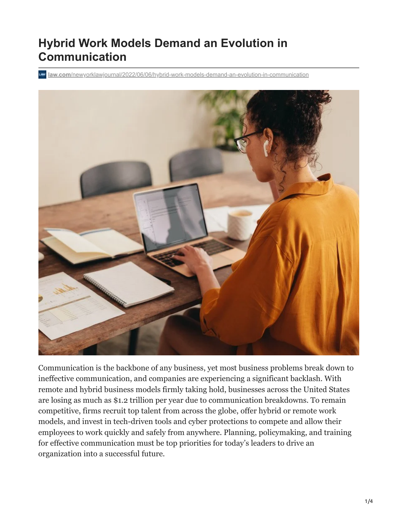# **Hybrid Work Models Demand an Evolution in Communication**

**law.com**[/newyorklawjournal/2022/06/06/hybrid-work-models-demand-an-evolution-in-communication](https://www.law.com/newyorklawjournal/2022/06/06/hybrid-work-models-demand-an-evolution-in-communication/)



Communication is the backbone of any business, yet most business problems break down to ineffective communication, and companies are experiencing a significant backlash. With remote and hybrid business models firmly taking hold, businesses across the United States are losing as much as \$1.2 trillion per year due to communication breakdowns. To remain competitive, firms recruit top talent from across the globe, offer hybrid or remote work models, and invest in tech-driven tools and cyber protections to compete and allow their employees to work quickly and safely from anywhere. Planning, policymaking, and training for effective communication must be top priorities for today's leaders to drive an organization into a successful future.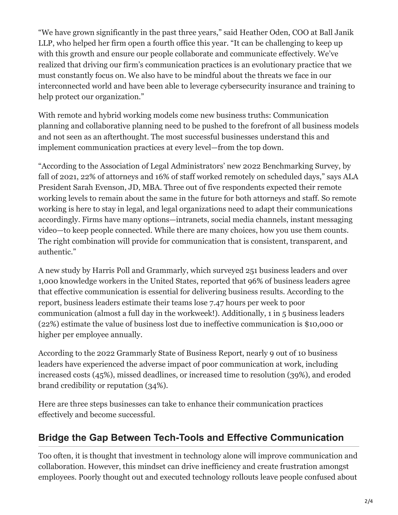"We have grown significantly in the past three years," said Heather Oden, COO at Ball Janik LLP, who helped her firm open a fourth office this year. "It can be challenging to keep up with this growth and ensure our people collaborate and communicate effectively. We've realized that driving our firm's communication practices is an evolutionary practice that we must constantly focus on. We also have to be mindful about the threats we face in our interconnected world and have been able to leverage cybersecurity insurance and training to help protect our organization."

With remote and hybrid working models come new business truths: Communication planning and collaborative planning need to be pushed to the forefront of all business models and not seen as an afterthought. The most successful businesses understand this and implement communication practices at every level—from the top down.

"According to the Association of Legal Administrators' new 2022 Benchmarking Survey, by fall of 2021, 22% of attorneys and 16% of staff worked remotely on scheduled days," says ALA President Sarah Evenson, JD, MBA. Three out of five respondents expected their remote working levels to remain about the same in the future for both attorneys and staff. So remote working is here to stay in legal, and legal organizations need to adapt their communications accordingly. Firms have many options—intranets, social media channels, instant messaging video—to keep people connected. While there are many choices, how you use them counts. The right combination will provide for communication that is consistent, transparent, and authentic."

A new study by Harris Poll and Grammarly, which surveyed 251 business leaders and over 1,000 knowledge workers in the United States, reported that 96% of business leaders agree that effective communication is essential for delivering business results. According to the report, business leaders estimate their teams lose 7.47 hours per week to poor communication (almost a full day in the workweek!). Additionally, 1 in 5 business leaders (22%) estimate the value of business lost due to ineffective communication is \$10,000 or higher per employee annually.

According to the 2022 Grammarly State of Business Report, nearly 9 out of 10 business leaders have experienced the adverse impact of poor communication at work, including increased costs (45%), missed deadlines, or increased time to resolution (39%), and eroded brand credibility or reputation (34%).

Here are three steps businesses can take to enhance their communication practices effectively and become successful.

#### **Bridge the Gap Between Tech-Tools and Effective Communication**

Too often, it is thought that investment in technology alone will improve communication and collaboration. However, this mindset can drive inefficiency and create frustration amongst employees. Poorly thought out and executed technology rollouts leave people confused about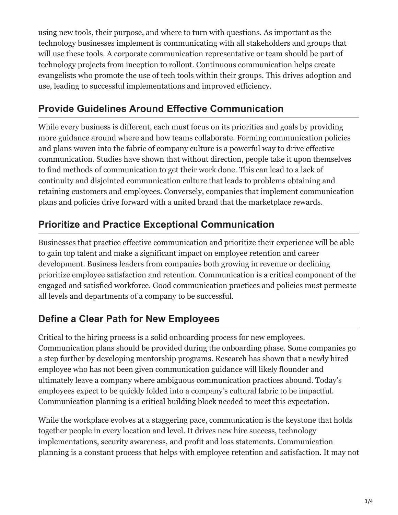using new tools, their purpose, and where to turn with questions. As important as the technology businesses implement is communicating with all stakeholders and groups that will use these tools. A corporate communication representative or team should be part of technology projects from inception to rollout. Continuous communication helps create evangelists who promote the use of tech tools within their groups. This drives adoption and use, leading to successful implementations and improved efficiency.

#### **Provide Guidelines Around Effective Communication**

While every business is different, each must focus on its priorities and goals by providing more guidance around where and how teams collaborate. Forming communication policies and plans woven into the fabric of company culture is a powerful way to drive effective communication. Studies have shown that without direction, people take it upon themselves to find methods of communication to get their work done. This can lead to a lack of continuity and disjointed communication culture that leads to problems obtaining and retaining customers and employees. Conversely, companies that implement communication plans and policies drive forward with a united brand that the marketplace rewards.

### **Prioritize and Practice Exceptional Communication**

Businesses that practice effective communication and prioritize their experience will be able to gain top talent and make a significant impact on employee retention and career development. Business leaders from companies both growing in revenue or declining prioritize employee satisfaction and retention. Communication is a critical component of the engaged and satisfied workforce. Good communication practices and policies must permeate all levels and departments of a company to be successful.

## **Define a Clear Path for New Employees**

Critical to the hiring process is a solid onboarding process for new employees. Communication plans should be provided during the onboarding phase. Some companies go a step further by developing mentorship programs. Research has shown that a newly hired employee who has not been given communication guidance will likely flounder and ultimately leave a company where ambiguous communication practices abound. Today's employees expect to be quickly folded into a company's cultural fabric to be impactful. Communication planning is a critical building block needed to meet this expectation.

While the workplace evolves at a staggering pace, communication is the keystone that holds together people in every location and level. It drives new hire success, technology implementations, security awareness, and profit and loss statements. Communication planning is a constant process that helps with employee retention and satisfaction. It may not